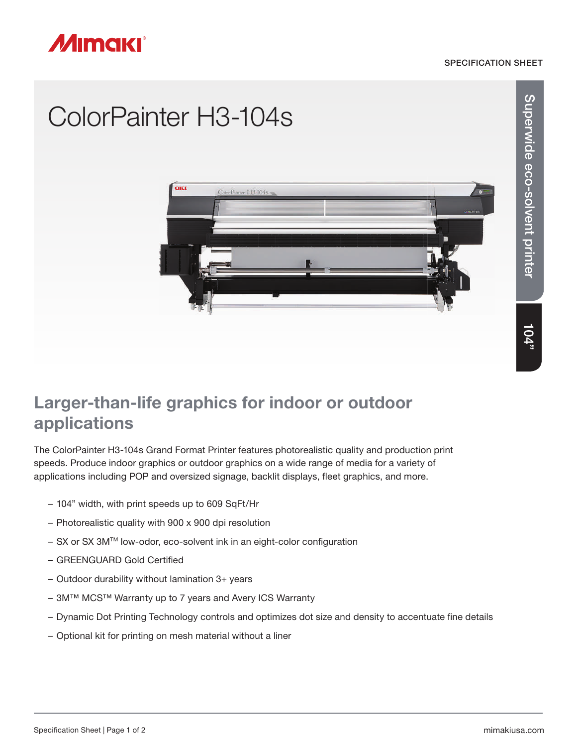#### SPECIFICATION SHEET



## ColorPainter H3-104s



# Superwide eco-solvent printer Superwide eco-solvent printer

### Larger-than-life graphics for indoor or outdoor applications

The ColorPainter H3-104s Grand Format Printer features photorealistic quality and production print speeds. Produce indoor graphics or outdoor graphics on a wide range of media for a variety of applications including POP and oversized signage, backlit displays, fleet graphics, and more.

- 104" width, with print speeds up to 609 SqFt/Hr
- Photorealistic quality with 900 x 900 dpi resolution
- $-$  SX or SX 3M<sup>™</sup> low-odor, eco-solvent ink in an eight-color configuration
- GREENGUARD Gold Certified
- Outdoor durability without lamination 3+ years
- 3M™ MCS™ Warranty up to 7 years and Avery ICS Warranty
- Dynamic Dot Printing Technology controls and optimizes dot size and density to accentuate fine details
- Optional kit for printing on mesh material without a liner